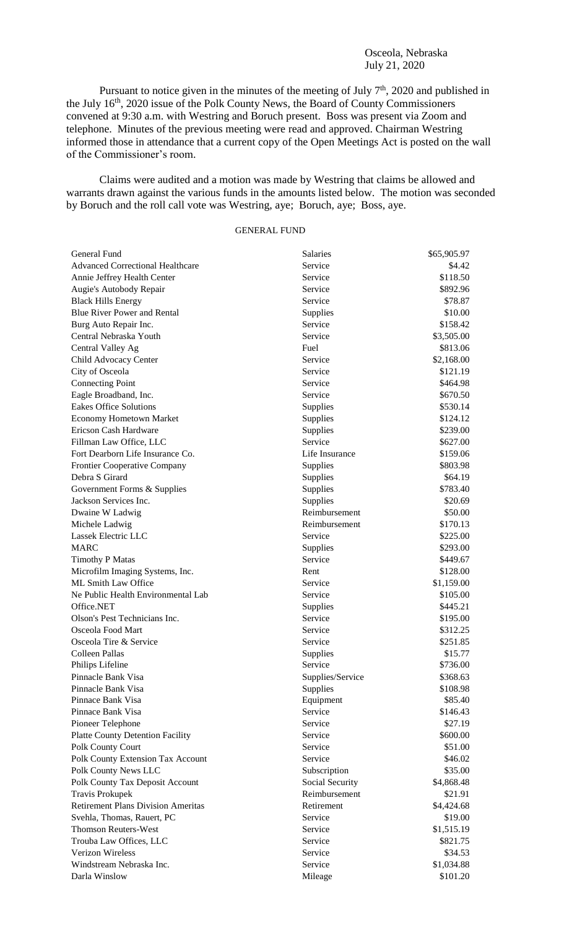Pursuant to notice given in the minutes of the meeting of July  $7<sup>th</sup>$ , 2020 and published in the July 16<sup>th</sup>, 2020 issue of the Polk County News, the Board of County Commissioners convened at 9:30 a.m. with Westring and Boruch present. Boss was present via Zoom and telephone. Minutes of the previous meeting were read and approved. Chairman Westring informed those in attendance that a current copy of the Open Meetings Act is posted on the wall of the Commissioner's room.

Claims were audited and a motion was made by Westring that claims be allowed and warrants drawn against the various funds in the amounts listed below. The motion was seconded by Boruch and the roll call vote was Westring, aye; Boruch, aye; Boss, aye.

## GENERAL FUND

| General Fund                              | Salaries         | \$65,905.97 |
|-------------------------------------------|------------------|-------------|
| <b>Advanced Correctional Healthcare</b>   | Service          | \$4.42      |
| Annie Jeffrey Health Center               | Service          | \$118.50    |
| Augie's Autobody Repair                   | Service          | \$892.96    |
| <b>Black Hills Energy</b>                 | Service          | \$78.87     |
| Blue River Power and Rental               | Supplies         | \$10.00     |
| Burg Auto Repair Inc.                     | Service          | \$158.42    |
| Central Nebraska Youth                    | Service          | \$3,505.00  |
| Central Valley Ag                         | Fuel             | \$813.06    |
| Child Advocacy Center                     | Service          | \$2,168.00  |
| City of Osceola                           | Service          | \$121.19    |
| <b>Connecting Point</b>                   | Service          | \$464.98    |
| Eagle Broadband, Inc.                     | Service          | \$670.50    |
| <b>Eakes Office Solutions</b>             | Supplies         | \$530.14    |
| <b>Economy Hometown Market</b>            | Supplies         | \$124.12    |
| Ericson Cash Hardware                     | Supplies         | \$239.00    |
| Fillman Law Office, LLC                   | Service          | \$627.00    |
| Fort Dearborn Life Insurance Co.          | Life Insurance   | \$159.06    |
| Frontier Cooperative Company              | Supplies         | \$803.98    |
| Debra S Girard                            | Supplies         | \$64.19     |
| Government Forms & Supplies               | Supplies         | \$783.40    |
| Jackson Services Inc.                     | Supplies         | \$20.69     |
|                                           | Reimbursement    | \$50.00     |
| Dwaine W Ladwig                           | Reimbursement    | \$170.13    |
| Michele Ladwig<br>Lassek Electric LLC     | Service          | \$225.00    |
| <b>MARC</b>                               |                  |             |
|                                           | Supplies         | \$293.00    |
| <b>Timothy P Matas</b>                    | Service          | \$449.67    |
| Microfilm Imaging Systems, Inc.           | Rent             | \$128.00    |
| ML Smith Law Office                       | Service          | \$1,159.00  |
| Ne Public Health Environmental Lab        | Service          | \$105.00    |
| Office.NET                                | Supplies         | \$445.21    |
| Olson's Pest Technicians Inc.             | Service          | \$195.00    |
| Osceola Food Mart                         | Service          | \$312.25    |
| Osceola Tire & Service                    | Service          | \$251.85    |
| Colleen Pallas                            | Supplies         | \$15.77     |
| Philips Lifeline                          | Service          | \$736.00    |
| Pinnacle Bank Visa                        | Supplies/Service | \$368.63    |
| Pinnacle Bank Visa                        | Supplies         | \$108.98    |
| Pinnace Bank Visa                         | Equipment        | \$85.40     |
| Pinnace Bank Visa                         | Service          | \$146.43    |
| Pioneer Telephone                         | Service          | \$27.19     |
| <b>Platte County Detention Facility</b>   | Service          | \$600.00    |
| Polk County Court                         | Service          | \$51.00     |
| Polk County Extension Tax Account         | Service          | \$46.02     |
| Polk County News LLC                      | Subscription     | \$35.00     |
| Polk County Tax Deposit Account           | Social Security  | \$4,868.48  |
| <b>Travis Prokupek</b>                    | Reimbursement    | \$21.91     |
| <b>Retirement Plans Division Ameritas</b> | Retirement       | \$4,424.68  |
| Svehla, Thomas, Rauert, PC                | Service          | \$19.00     |
| <b>Thomson Reuters-West</b>               | Service          | \$1,515.19  |
| Trouba Law Offices, LLC                   | Service          | \$821.75    |
| <b>Verizon Wireless</b>                   | Service          | \$34.53     |
| Windstream Nebraska Inc.                  | Service          | \$1,034.88  |
| Darla Winslow                             | Mileage          | \$101.20    |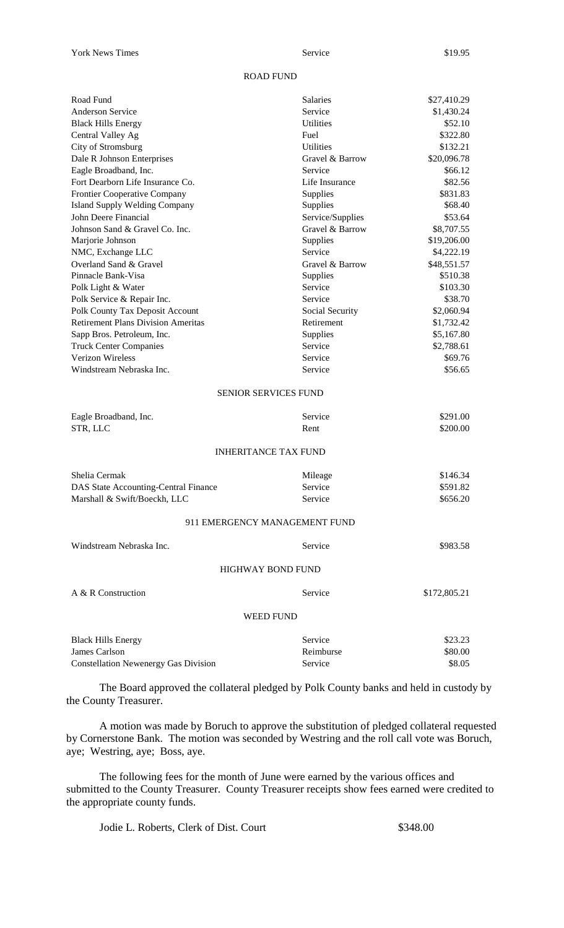## ROAD FUND

| Road Fund                                   | Salaries                      | \$27,410.29  |
|---------------------------------------------|-------------------------------|--------------|
| <b>Anderson Service</b>                     | Service                       | \$1,430.24   |
| <b>Black Hills Energy</b>                   | <b>Utilities</b>              | \$52.10      |
| Central Valley Ag                           | Fuel                          | \$322.80     |
| City of Stromsburg                          | <b>Utilities</b>              | \$132.21     |
| Dale R Johnson Enterprises                  | Gravel & Barrow               | \$20,096.78  |
| Eagle Broadband, Inc.                       | Service                       | \$66.12      |
| Fort Dearborn Life Insurance Co.            | Life Insurance                | \$82.56      |
| Frontier Cooperative Company                | Supplies                      | \$831.83     |
| <b>Island Supply Welding Company</b>        | Supplies                      | \$68.40      |
| John Deere Financial                        | Service/Supplies              | \$53.64      |
| Johnson Sand & Gravel Co. Inc.              | Gravel & Barrow               | \$8,707.55   |
| Marjorie Johnson                            | Supplies                      | \$19,206.00  |
| NMC, Exchange LLC                           | Service                       | \$4,222.19   |
| Overland Sand & Gravel                      | Gravel & Barrow               | \$48,551.57  |
| Pinnacle Bank-Visa                          | Supplies                      | \$510.38     |
| Polk Light & Water                          | Service                       | \$103.30     |
| Polk Service & Repair Inc.                  | Service                       | \$38.70      |
| Polk County Tax Deposit Account             | Social Security               | \$2,060.94   |
| <b>Retirement Plans Division Ameritas</b>   | Retirement                    | \$1,732.42   |
| Sapp Bros. Petroleum, Inc.                  | Supplies                      | \$5,167.80   |
| <b>Truck Center Companies</b>               | Service                       | \$2,788.61   |
| <b>Verizon Wireless</b>                     | Service                       | \$69.76      |
| Windstream Nebraska Inc.                    | Service                       | \$56.65      |
|                                             | <b>SENIOR SERVICES FUND</b>   |              |
| Eagle Broadband, Inc.                       | Service                       | \$291.00     |
| STR, LLC                                    | Rent                          | \$200.00     |
|                                             | <b>INHERITANCE TAX FUND</b>   |              |
|                                             |                               |              |
| Shelia Cermak                               | Mileage                       | \$146.34     |
| DAS State Accounting-Central Finance        | Service                       | \$591.82     |
| Marshall & Swift/Boeckh, LLC                | Service                       | \$656.20     |
|                                             | 911 EMERGENCY MANAGEMENT FUND |              |
| Windstream Nebraska Inc.                    | Service                       | \$983.58     |
|                                             |                               |              |
|                                             | <b>HIGHWAY BOND FUND</b>      |              |
| A & R Construction                          | Service                       | \$172,805.21 |
|                                             | <b>WEED FUND</b>              |              |
| <b>Black Hills Energy</b>                   | Service                       | \$23.23      |
| James Carlson                               | Reimburse                     | \$80.00      |
| <b>Constellation Newenergy Gas Division</b> | Service                       | \$8.05       |
|                                             |                               |              |

The Board approved the collateral pledged by Polk County banks and held in custody by the County Treasurer.

A motion was made by Boruch to approve the substitution of pledged collateral requested by Cornerstone Bank. The motion was seconded by Westring and the roll call vote was Boruch, aye; Westring, aye; Boss, aye.

The following fees for the month of June were earned by the various offices and submitted to the County Treasurer. County Treasurer receipts show fees earned were credited to the appropriate county funds.

Jodie L. Roberts, Clerk of Dist. Court \$348.00